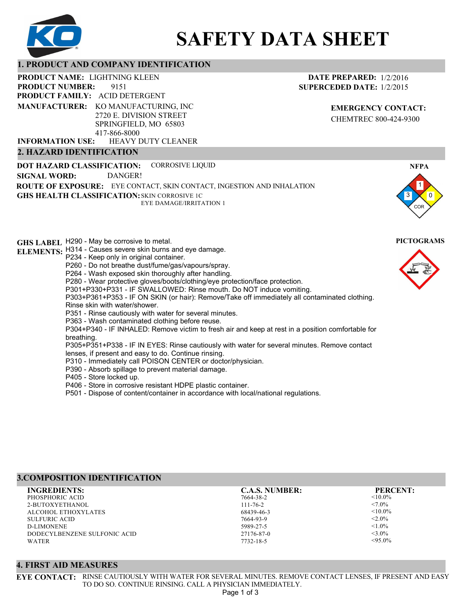

# **SAFETY DATA SHEET**

## **1. PRODUCT AND COMPANY IDENTIFICATION**

9151 PRODUCT NAME: LIGHTNING KLEEN **PRODUCT FAMILY: ACID DETERGENT** HEAVY DUTY CLEANER **PRODUCT NUMBER: 2. HAZARD IDENTIFICATION MANUFACTURER:** KO MANUFACTURING, INC 2720 E. DIVISION STREET SPRINGFIELD, MO 65803 417-866-8000 **INFORMATION USE:**

**DATE PREPARED:** 1/2/2016 **SUPERCEDED DATE:** 1/2/2015

> **EMERGENCY CONTACT:** CHEMTREC 800-424-9300

**DOT HAZARD CLASSIFICATION: GHS HEALTH CLASSIFICATION:** SKIN CORROSIVE 1C **ROUTE OF EXPOSURE:** EYE CONTACT, SKIN CONTACT, INGESTION AND INHALATION CORROSIVE LIQUID EYE DAMAGE/IRRITATION 1 **SIGNAL WORD:** DANGER!

**GHS LABEL**  H290 - May be corrosive to metal. **PICTOGRAMS ELEMENTS:** H314 - Causes severe skin burns and eye damage. P234 - Keep only in original container. P260 - Do not breathe dust/fume/gas/vapours/spray. P264 - Wash exposed skin thoroughly after handling. P280 - Wear protective gloves/boots/clothing/eye protection/face protection. P301+P330+P331 - IF SWALLOWED: Rinse mouth. Do NOT induce vomiting. P303+P361+P353 - IF ON SKIN (or hair): Remove/Take off immediately all contaminated clothing. Rinse skin with water/shower. P351 - Rinse cautiously with water for several minutes. P363 - Wash contaminated clothing before reuse. P304+P340 - IF INHALED: Remove victim to fresh air and keep at rest in a position comfortable for breathing. P305+P351+P338 - IF IN EYES: Rinse cautiously with water for several minutes. Remove contact lenses, if present and easy to do. Continue rinsing. P310 - Immediately call POISON CENTER or doctor/physician. P390 - Absorb spillage to prevent material damage. P405 - Store locked up. P406 - Store in corrosive resistant HDPE plastic container. P501 - Dispose of content/container in accordance with local/national regulations.

# **3.COMPOSITION IDENTIFICATION**

PHOSPHORIC ACID 2-BUTOXYETHANOL ALCOHOL ETHOXYLATES SULFURIC ACID D-LIMONENE DODECYLBENZENE SULFONIC ACID WATER **INGREDIENTS: C.A.S. NUMBER: PERCENT:**

7664-38-2 111-76-2 68439-46-3 7664-93-9 5989-27-5 27176-87-0

7732-18-5

 $<$ 10.0%  $< 7.0\%$  $< 10.0\%$  $< 2.0\%$  $< 1.0\%$  $<$ 3.0%  $< 95.0%$ 

## **4. FIRST AID MEASURES**

**EYE CONTACT:** RINSE CAUTIOUSLY WITH WATER FOR SEVERAL MINUTES. REMOVE CONTACT LENSES, IF PRESENT AND EASY TO DO SO. CONTINUE RINSING. CALL A PHYSICIAN IMMEDIATELY. Page 1 of 3



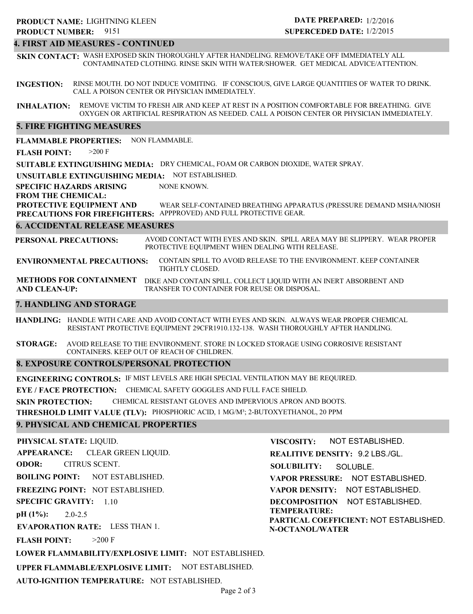## **4. FIRST AID MEASURES - CONTINUED**

**SKIN CONTACT:** WASH EXPOSED SKIN THOROUGHLY AFTER HANDELING. REMOVE/TAKE OFF IMMEDIATELY ALL CONTAMINATED CLOTHING. RINSE SKIN WITH WATER/SHOWER. GET MEDICAL ADVICE/ATTENTION.

**INGESTION:** RINSE MOUTH. DO NOT INDUCE VOMITING. IF CONSCIOUS, GIVE LARGE QUANTITIES OF WATER TO DRINK. CALL A POISON CENTER OR PHYSICIAN IMMEDIATELY.

**INHALATION:** REMOVE VICTIM TO FRESH AIR AND KEEP AT REST IN A POSITION COMFORTABLE FOR BREATHING. GIVE OXYGEN OR ARTIFICIAL RESPIRATION AS NEEDED. CALL A POISON CENTER OR PHYSICIAN IMMEDIATELY.

## **5. FIRE FIGHTING MEASURES**

**FLAMMABLE PROPERTIES:** NON FLAMMABLE.

**FLASH POINT:** >200 F

**SUITABLE EXTINGUISHING MEDIA:** DRY CHEMICAL, FOAM OR CARBON DIOXIDE, WATER SPRAY.

**UNSUITABLE EXTINGUISHING MEDIA:** NOT ESTABLISHED.

**SPECIFIC HAZARDS ARISING** NONE KNOWN.

**FROM THE CHEMICAL:**

**PROTECTIVE EQUIPMENT AND PRECAUTIONS FOR FIREFIGHTERS:** APPPROVED) AND FULL PROTECTIVE GEAR. WEAR SELF-CONTAINED BREATHING APPARATUS (PRESSURE DEMAND MSHA/NIOSH

### **6. ACCIDENTAL RELEASE MEASURES**

**PERSONAL PRECAUTIONS:** AVOID CONTACT WITH EYES AND SKIN. SPILL AREA MAY BE SLIPPERY. WEAR PROPER PROTECTIVE EQUIPMENT WHEN DEALING WITH RELEASE.

**ENVIRONMENTAL PRECAUTIONS:** CONTAIN SPILL TO AVOID RELEASE TO THE ENVIRONMENT. KEEP CONTAINER TIGHTLY CLOSED.

**METHODS FOR CONTAINMENT** DIKE AND CONTAIN SPILL. COLLECT LIQUID WITH AN INERT ABSORBENT AND **AND CLEAN-UP:** TRANSFER TO CONTAINER FOR REUSE OR DISPOSAL.

## **7. HANDLING AND STORAGE**

**HANDLING:** HANDLE WITH CARE AND AVOID CONTACT WITH EYES AND SKIN. ALWAYS WEAR PROPER CHEMICAL RESISTANT PROTECTIVE EQUIPMENT 29CFR1910.132-138. WASH THOROUGHLY AFTER HANDLING.

**STORAGE:** AVOID RELEASE TO THE ENVIRONMENT. STORE IN LOCKED STORAGE USING CORROSIVE RESISTANT CONTAINERS. KEEP OUT OF REACH OF CHILDREN.

## **8. EXPOSURE CONTROLS/PERSONAL PROTECTION**

**ENGINEERING CONTROLS:** IF MIST LEVELS ARE HIGH SPECIAL VENTILATION MAY BE REQUIRED.

**EYE / FACE PROTECTION:** CHEMICAL SAFETY GOGGLES AND FULL FACE SHIELD.

**SKIN PROTECTION:** CHEMICAL RESISTANT GLOVES AND IMPERVIOUS APRON AND BOOTS.

**THRESHOLD LIMIT VALUE (TLV):** PHOSPHORIC ACID, 1 MG/M³; 2-BUTOXYETHANOL, 20 PPM

## **9. PHYSICAL AND CHEMICAL PROPERTIES**

**PHYSICAL STATE:** LIQUID. **APPEARANCE: ODOR: BOILING POINT:** NOT ESTABLISHED. **FREEZING POINT:** NOT ESTABLISHED. **SPECIFIC GRAVITY:** 1.10 **pH (1%): EVAPORATION RATE:** LESS THAN 1. 2.0-2.5 CLEAR GREEN LIQUID. CITRUS SCENT.

 $>200$  F

**FLASH POINT:**

**REALITIVE DENSITY:** 9.2 LBS./GL. **SOLUBILITY: VAPOR PRESSURE:** NOT ESTABLISHED. **VAPOR DENSITY:** NOT ESTABLISHED. **DECOMPOSITION** NOT ESTABLISHED. **TEMPERATURE: PARTICAL COEFFICIENT:** NOT ESTABLISHED. **N-OCTANOL/WATER** SOLUBLE.

NOT ESTABLISHED.

**VISCOSITY:**

**LOWER FLAMMABILITY/EXPLOSIVE LIMIT:** NOT ESTABLISHED.

**UPPER FLAMMABLE/EXPLOSIVE LIMIT:** NOT ESTABLISHED.

**AUTO-IGNITION TEMPERATURE:** NOT ESTABLISHED.